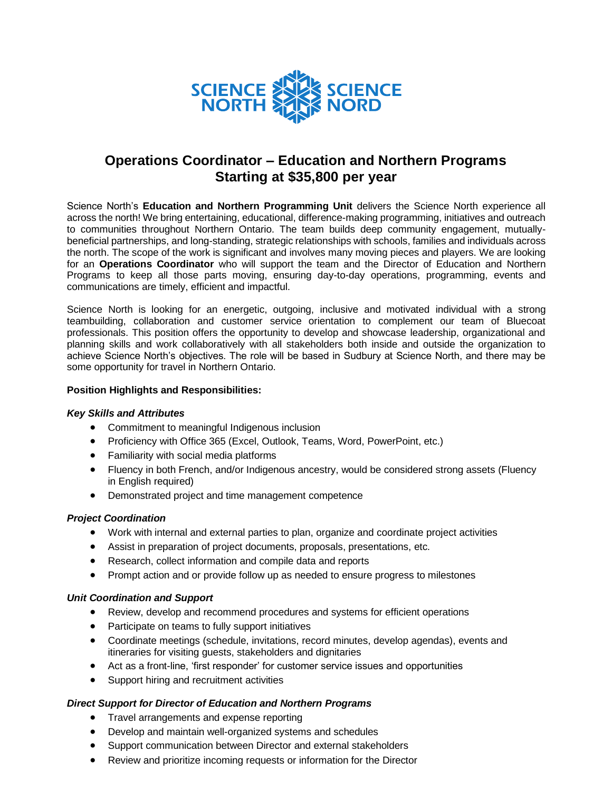

# **Operations Coordinator – Education and Northern Programs Starting at \$35,800 per year**

Science North's **Education and Northern Programming Unit** delivers the Science North experience all across the north! We bring entertaining, educational, difference-making programming, initiatives and outreach to communities throughout Northern Ontario. The team builds deep community engagement, mutuallybeneficial partnerships, and long-standing, strategic relationships with schools, families and individuals across the north. The scope of the work is significant and involves many moving pieces and players. We are looking for an **Operations Coordinator** who will support the team and the Director of Education and Northern Programs to keep all those parts moving, ensuring day-to-day operations, programming, events and communications are timely, efficient and impactful.

Science North is looking for an energetic, outgoing, inclusive and motivated individual with a strong teambuilding, collaboration and customer service orientation to complement our team of Bluecoat professionals. This position offers the opportunity to develop and showcase leadership, organizational and planning skills and work collaboratively with all stakeholders both inside and outside the organization to achieve Science North's objectives. The role will be based in Sudbury at Science North, and there may be some opportunity for travel in Northern Ontario.

### **Position Highlights and Responsibilities:**

#### *Key Skills and Attributes*

- Commitment to meaningful Indigenous inclusion
- Proficiency with Office 365 (Excel, Outlook, Teams, Word, PowerPoint, etc.)
- Familiarity with social media platforms
- Fluency in both French, and/or Indigenous ancestry, would be considered strong assets (Fluency in English required)
- Demonstrated project and time management competence

#### *Project Coordination*

- Work with internal and external parties to plan, organize and coordinate project activities
- Assist in preparation of project documents, proposals, presentations, etc.
- Research, collect information and compile data and reports
- Prompt action and or provide follow up as needed to ensure progress to milestones

#### *Unit Coordination and Support*

- Review, develop and recommend procedures and systems for efficient operations
- Participate on teams to fully support initiatives
- Coordinate meetings (schedule, invitations, record minutes, develop agendas), events and itineraries for visiting guests, stakeholders and dignitaries
- Act as a front-line, 'first responder' for customer service issues and opportunities
- Support hiring and recruitment activities

## *Direct Support for Director of Education and Northern Programs*

- Travel arrangements and expense reporting
- Develop and maintain well-organized systems and schedules
- Support communication between Director and external stakeholders
- Review and prioritize incoming requests or information for the Director